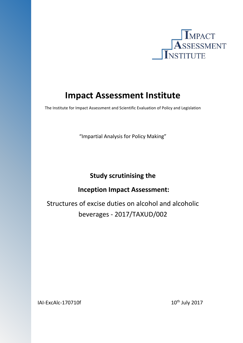

# **Impact Assessment Institute**

The Institute for Impact Assessment and Scientific Evaluation of Policy and Legislation

"Impartial Analysis for Policy Making"

# **Study scrutinising the**

# **Inception Impact Assessment:**

Structures of excise duties on alcohol and alcoholic beverages - 2017/TAXUD/002

 $IAL-ExcA1c-170710f$  10<sup>th</sup> July 2017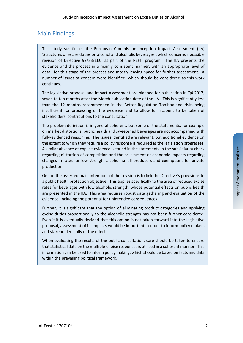# Main Findings

This study scrutinises the European Commission Inception Impact Assessment (IIA) 'Structures of excise duties on alcohol and alcoholic beverages', which concerns a possible revision of Directive 92/83/EEC, as part of the REFIT program. The IIA presents the evidence and the process in a mainly consistent manner, with an appropriate level of detail for this stage of the process and mostly leaving space for further assessment. A number of issues of concern were identified, which should be considered as this work continues.

The legislative proposal and Impact Assessment are planned for publication in Q4 2017, seven to ten months after the March publication date of the IIA. This is significantly less than the 12 months recommended in the Better Regulation Toolbox and risks being insufficient for processing of the evidence and to allow full account to be taken of stakeholders' contributions to the consultation.

The problem definition is in general coherent, but some of the statements, for example on market distortions, public health and sweetened beverages are not accompanied with fully-evidenced reasoning. The issues identified are relevant, but additional evidence on the extent to which they require a policy response is required as the legislation progresses. A similar absence of explicit evidence is found in the statements in the subsidiarity check regarding distortion of competition and the assessment of economic impacts regarding changes in rates for low strength alcohol, small producers and exemptions for private production.

One of the asserted main intentions of the revision is to link the Directive's provisions to a public health protection objective. This applies specifically to the area of reduced excise rates for beverages with low alcoholic strength, whose potential effects on public health are presented in the IIA. This area requires robust data gathering and evaluation of the evidence, including the potential for unintended consequences.

Further, it is significant that the option of eliminating product categories and applying excise duties proportionally to the alcoholic strength has not been further considered. Even if it is eventually decided that this option is not taken forward into the legislative proposal, assessment of its impacts would be important in order to inform policy makers and stakeholders fully of the effects.

When evaluating the results of the public consultation, care should be taken to ensure that statistical data on the multiple-choice responses is utilised in a coherent manner. This information can be used to inform policy making, which should be based on facts and data within the prevailing political framework.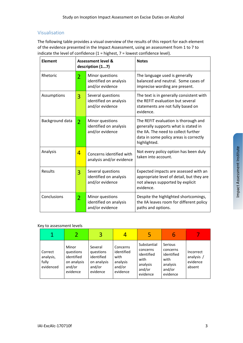# Visualisation

The following table provides a visual overview of the results of this report for each element of the evidence presented in the Impact Assessment, using an assessment from 1 to 7 to indicate the level of confidence  $(1 =$  highest,  $7 =$  lowest confidence level).

| <b>Element</b>  |                | <b>Assessment level &amp;</b><br>description (17)              | <b>Notes</b>                                                                                                                                                                   |  |  |
|-----------------|----------------|----------------------------------------------------------------|--------------------------------------------------------------------------------------------------------------------------------------------------------------------------------|--|--|
| Rhetoric        | $\overline{2}$ | Minor questions<br>identified on analysis<br>and/or evidence   | The language used is generally<br>balanced and neutral. Some cases of<br>imprecise wording are present.                                                                        |  |  |
| Assumptions     | 3              | Several questions<br>identified on analysis<br>and/or evidence | The text is in generally consistent with<br>the REFIT evaluation but several<br>statements are not fully based on<br>evidence.                                                 |  |  |
| Background data | $\overline{2}$ | Minor questions<br>identified on analysis<br>and/or evidence   | The REFIT evaluation is thorough and<br>generally supports what is stated in<br>the IIA. The need to collect further<br>data in some policy areas is correctly<br>highlighted. |  |  |
| Analysis        | 4              | Concerns identified with<br>analysis and/or evidence           | Not every policy option has been duly<br>taken into account.                                                                                                                   |  |  |
| Results         | 3              | Several questions<br>identified on analysis<br>and/or evidence | Expected impacts are assessed with an<br>appropriate level of detail, but they are<br>not always supported by explicit<br>evidence.                                            |  |  |
| Conclusions     | $\overline{2}$ | Minor questions<br>identified on analysis<br>and/or evidence   | Despite the highlighted shortcomings,<br>the IIA leaves room for different policy<br>paths and options.                                                                        |  |  |

#### Key to assessment levels

|                                            |                                                                       | 3                                                                       |                                                                  | 5                                                                               | b                                                                           |                                               |
|--------------------------------------------|-----------------------------------------------------------------------|-------------------------------------------------------------------------|------------------------------------------------------------------|---------------------------------------------------------------------------------|-----------------------------------------------------------------------------|-----------------------------------------------|
| Correct<br>analysis,<br>fully<br>evidenced | Minor<br>questions<br>identified<br>on analysis<br>and/or<br>evidence | Several<br>questions<br>identified<br>on analysis<br>and/or<br>evidence | Concerns<br>identified<br>with<br>analysis<br>and/or<br>evidence | Substantial<br>concerns<br>identified<br>with<br>analysis<br>and/or<br>evidence | Serious<br>concerns<br>identified<br>with<br>analysis<br>and/or<br>evidence | Incorrect<br>analysis /<br>evidence<br>absent |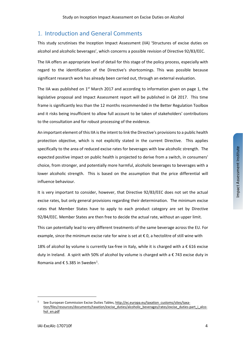# 1. Introduction and General Comments

This study scrutinises the Inception Impact Assessment (IIA) 'Structures of excise duties on alcohol and alcoholic beverages', which concerns a possible revision of Directive 92/83/EEC.

The IIA offers an appropriate level of detail for this stage of the policy process, especially with regard to the identification of the Directive's shortcomings. This was possible because significant research work has already been carried out, through an external evaluation.

The IIA was published on  $1<sup>st</sup>$  March 2017 and according to information given on page 1, the legislative proposal and Impact Assessment report will be published in Q4 2017. This time frame is significantly less than the 12 months recommended in the Better Regulation Toolbox and it risks being insufficient to allow full account to be taken of stakeholders' contributions to the consultation and for robust processing of the evidence.

An important element of this IIA is the intent to link the Directive's provisions to a public health protection objective, which is not explicitly stated in the current Directive. This applies specifically to the area of reduced excise rates for beverages with low alcoholic strength. The expected positive impact on public health is projected to derive from a switch, in consumers' choice, from stronger, and potentially more harmful, alcoholic beverages to beverages with a lower alcoholic strength. This is based on the assumption that the price differential will influence behaviour.

It is very important to consider, however, that Directive 92/83/EEC does not set the actual excise rates, but only general provisions regarding their determination. The minimum excise rates that Member States have to apply to each product category are set by Directive 92/84/EEC. Member States are then free to decide the actual rate, without an upper limit.

This can potentially lead to very different treatments of the same beverage across the EU. For example, since the minimum excise rate for wine is set at  $\epsilon$  0, a hectolitre of still wine with

18% of alcohol by volume is currently tax-free in Italy, while it is charged with a  $\epsilon$  616 excise duty in Ireland. A spirit with 50% of alcohol by volume is charged with a € 743 excise duty in Romania and  $\epsilon$  5.385 in Sweden<sup>[1](#page-3-0)</sup>.

<span id="page-3-0"></span>See European Commission Excise Duties Tables, [http://ec.europa.eu/taxation\\_customs/sites/taxa](http://ec.europa.eu/taxation_customs/sites/taxation/files/resources/documents/taxation/excise_duties/alcoholic_beverages/rates/excise_duties-part_i_alcohol_en.pdf)[tion/files/resources/documents/taxation/excise\\_duties/alcoholic\\_beverages/rates/excise\\_duties-part\\_i\\_alco](http://ec.europa.eu/taxation_customs/sites/taxation/files/resources/documents/taxation/excise_duties/alcoholic_beverages/rates/excise_duties-part_i_alcohol_en.pdf)[hol\\_en.pdf](http://ec.europa.eu/taxation_customs/sites/taxation/files/resources/documents/taxation/excise_duties/alcoholic_beverages/rates/excise_duties-part_i_alcohol_en.pdf)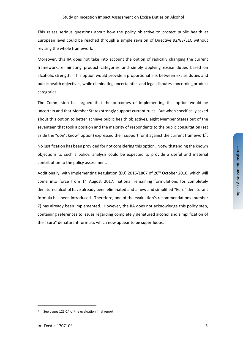This raises serious questions about how the policy objective to protect public health at European level could be reached through a simple revision of Directive 92/83/EEC without revising the whole framework.

Moreover, this IIA does not take into account the option of radically changing the current framework, eliminating product categories and simply applying excise duties based on alcoholic strength. This option would provide a proportional link between excise duties and public health objectives, while eliminating uncertainties and legal disputes concerning product categories.

The Commission has argued that the outcomes of implementing this option would be uncertain and that Member States strongly support current rules. But when specifically asked about this option to better achieve public health objectives, eight Member States out of the seventeen that took a position and the majority of respondents to the public consultation (set aside the "don't know" option) expressed their support for it against the current framework<sup>[2](#page-4-0)</sup>.

No justification has been provided for not considering this option. Notwithstanding the known objections to such a policy, analysis could be expected to provide a useful and material contribution to the policy assessment.

Additionally, with Implementing Regulation (EU) 2016/1867 of 20<sup>th</sup> October 2016, which will come into force from 1<sup>st</sup> August 2017, national remaining formulations for completely denatured alcohol have already been eliminated and a new and simplified "Euro" denaturant formula has been introduced. Therefore, one of the evaluation's recommendations (number 7) has already been implemented. However, the IIA does not acknowledge this policy step, containing references to issues regarding completely denatured alcohol and simplification of the "Euro" denaturant formula, which now appear to be superfluous.

<span id="page-4-0"></span>See pages 123-24 of the evaluation final report.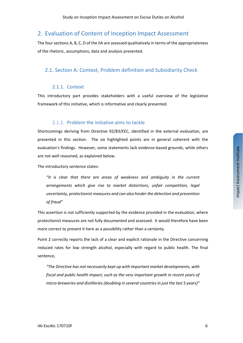# 2. Evaluation of Content of Inception Impact Assessment

The four sections A, B, C, D of the IIA are assessed qualitatively in terms of the appropriateness of the rhetoric, assumptions, data and analysis presented.

# 2.1. Section A: Context, Problem definition and Subsidiarity Check

#### 2.1.1. Context

This introductory part provides stakeholders with a useful overview of the legislative framework of this initiative, which is informative and clearly presented.

### 2.1.2. Problem the initiative aims to tackle

Shortcomings deriving from Directive 92/83/EEC, identified in the external evaluation, are presented in this section. The six highlighted points are in general coherent with the evaluation's findings. However, some statements lack evidence-based grounds, while others are not well reasoned, as explained below.

The introductory sentence states:

*"It is clear that there are areas of weakness and ambiguity in the current arrangements which give rise to market distortions, unfair competition, legal uncertainty, protectionist measures and can also hinder the detection and prevention of fraud"*

This assertion is not sufficiently supported by the evidence provided in the evaluation, where protectionist measures are not fully documented and assessed. It would therefore have been more correct to present it here as a possibility rather than a certainty.

Point 2 correctly reports the lack of a clear and explicit rationale in the Directive concerning reduced rates for low strength alcohol, especially with regard to public health. The final sentence,

*"The Directive has not necessarily kept up with important market developments, with fiscal and public health impact, such as the very important growth in recent years of micro-breweries and distilleries (doubling in several countries in just the last 5 years)"*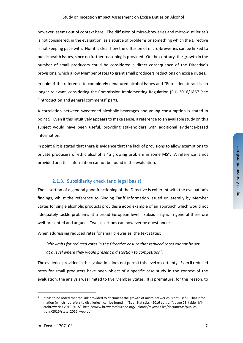however, seems out of context here. The diffusion of micro-breweries and micro-distilleries[3](#page-6-0) is not considered, in the evaluation, as a source of problems or something which the Directive is not keeping pace with. Nor it is clear how the diffusion of micro-breweries can be linked to public health issues, since no further reasoning is provided. On the contrary, the growth in the number of small producers could be considered a direct consequence of the Directive's provisions, which allow Member States to grant small producers reductions on excise duties.

In point 4 the reference to completely denatured alcohol issues and "Euro" denaturant is no longer relevant, considering the Commission Implementing Regulation (EU) 2016/1867 (see "Introduction and general comments" part).

A correlation between sweetened alcoholic beverages and young consumption is stated in point 5. Even if this intuitively appears to make sense, a reference to an available study on this subject would have been useful, providing stakeholders with additional evidence-based information.

In point 6 it is stated that there is evidence that the lack of provisions to allow exemptions to private producers of ethic alcohol is "a growing problem in some MS". A reference is not provided and this information cannot be found in the evaluation.

#### 2.1.3. Subsidiarity check (and legal basis)

The assertion of a general good functioning of the Directive is coherent with the evaluation's findings, whilst the reference to Binding Tariff Information issued unilaterally by Member States for single alcoholic products provides a good example of an approach which would not adequately tackle problems at a broad European level. Subsidiarity is in general therefore well-presented and argued. Two assertions can however be questioned:

When addressing reduced rates for small breweries, the text states:

*"the limits for reduced rates in the Directive ensure that reduced rates cannot be set at a level where they would present a distortion to competition".*

The evidence provided in the evaluation does not permit this level of certainty. Even if reduced rates for small producers have been object of a specific case study in the context of the evaluation, the analysis was limited to five Member States. It is premature, for this reason, to

<span id="page-6-0"></span><sup>&</sup>lt;sup>3</sup> It has to be noted that the link provided to document the growth of micro-breweries is not useful. That information (which not refers to distilleries), can be found in "Beer Statistics - 2016 edition", page 23, table "Microbreweries 2010-2015": [http://www.brewersofeurope.org/uploads/mycms-files/documents/publica](http://www.brewersofeurope.org/uploads/mycms-files/documents/publications/2016/stats_2016_web.pdf)tions/2016/stats\_2016\_web.pdf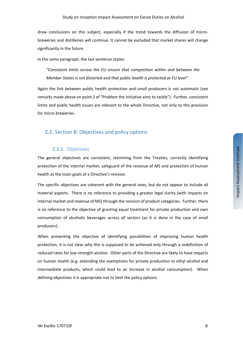draw conclusions on this subject, especially if the trend towards the diffusion of microbreweries and distilleries will continue. It cannot be excluded that market shares will change significantly in the future.

In the same paragraph, the last sentence states:

*"Consistent limits across the EU ensure that competition within and between the Member States is not distorted and that public health is protected at EU level"*

Again the link between public health protection and small producers is not automatic (see remarks made above on point 2 of "Problem the initiative aims to tackle"). Further, consistent limits and public health issues are relevant to the whole Directive, not only to this provision for micro-breweries.

#### 2.2. Section B: Objectives and policy options

#### 2.2.1. Objectives

The general objectives are consistent, stemming from the Treaties, correctly identifying protection of the internal market, safeguard of the revenue of MS and protection of human health as the main goals of a Directive's revision.

The specific objectives are coherent with the general ones, but do not appear to include all material aspects. There is no reference to providing a greater legal clarity (with impacts on internal market and revenue of MS) through the revision of product categories. Further, there is no reference to the objective of granting equal treatment for private production and own consumption of alcoholic beverages across all sectors (as it is done in the case of small producers).

When presenting the objective of identifying possibilities of improving human health protection, it is not clear why this is supposed to be achieved only through a redefinition of reduced rates for low strength alcohol. Other parts of the Directive are likely to have impacts on human health (e.g. extending the exemptions for private production to ethyl alcohol and intermediate products, which could lead to an increase in alcohol consumption). When defining objectives it is appropriate not to limit the policy options.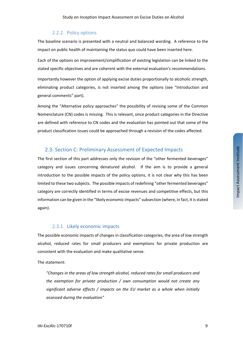#### 2.2.2. Policy options

The baseline scenario is presented with a neutral and balanced wording. A reference to the impact on public health of maintaining the status quo could have been inserted here.

Each of the options on improvement/simplification of existing legislation can be linked to the stated specific objectives and are coherent with the external evaluation's recommendations.

Importantly however the option of applying excise duties proportionally to alcoholic strength, eliminating product categories, is not inserted among the options (see "Introduction and general comments" part).

Among the "Alternative policy approaches" the possibility of revising some of the Common Nomenclature (CN) codes is missing. This is relevant, since product categories in the Directive are defined with reference to CN codes and the evaluation has pointed out that some of the product classification issues could be approached through a revision of the codes affected.

#### 2.3. Section C: Preliminary Assessment of Expected Impacts

The first section of this part addresses only the revision of the "other fermented beverages" category and issues concerning denatured alcohol. If the aim is to provide a general introduction to the possible impacts of the policy options, it is not clear why this has been limited to these two subjects. The possible impacts of redefining "other fermented beverages" category are correctly identified in terms of excise revenues and competitive effects, but this information can be given in the "likely economic impacts" subsection (where, in fact, it is stated again).

#### 2.3.1. Likely economic impacts

The possible economic impacts of changes in classification categories, the area of low strength alcohol, reduced rates for small producers and exemptions for private production are consistent with the evaluation and make qualitative sense.

The statement:

*"Changes in the areas of low strength alcohol, reduced rates for small producers and the exemption for private production / own consumption would not create any significant adverse effects / impacts on the EU market as a whole when initially assessed during the evaluation"*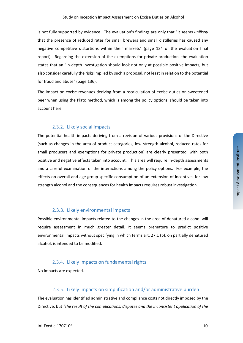is not fully supported by evidence. The evaluation's findings are only that "it seems *unlikely* that the presence of reduced rates for small brewers and small distilleries has caused any negative competitive distortions within their markets" (page 134 of the evaluation final report). Regarding the extension of the exemptions for private production, the evaluation states that an "in-depth investigation should look not only at possible positive impacts, but also consider carefully the risks implied by such a proposal, not least in relation to the potential for fraud and abuse" (page 136).

The impact on excise revenues deriving from a recalculation of excise duties on sweetened beer when using the Plato method, which is among the policy options, should be taken into account here.

#### 2.3.2. Likely social impacts

The potential health impacts deriving from a revision of various provisions of the Directive (such as changes in the area of product categories, low strength alcohol, reduced rates for small producers and exemptions for private production) are clearly presented, with both positive and negative effects taken into account. This area will require in-depth assessments and a careful examination of the interactions among the policy options. For example, the effects on overall and age-group specific consumption of an extension of incentives for low strength alcohol and the consequences for health impacts requires robust investigation.

#### 2.3.3. Likely environmental impacts

Possible environmental impacts related to the changes in the area of denatured alcohol will require assessment in much greater detail. It seems premature to predict positive environmental impacts without specifying in which terms art. 27.1 (b), on partially denatured alcohol, is intended to be modified.

#### 2.3.4. Likely impacts on fundamental rights

No impacts are expected.

#### 2.3.5. Likely impacts on simplification and/or administrative burden

The evaluation has identified administrative and compliance costs not directly imposed by the Directive, but *"the result of the complications, disputes and the inconsistent application of the*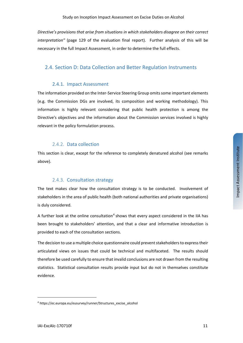*Directive's provisions that arise from situations in which stakeholders disagree on their correct interpretation"* (page 129 of the evaluation final report). Further analysis of this will be necessary in the full Impact Assessment, in order to determine the full effects.

## 2.4. Section D: Data Collection and Better Regulation Instruments

#### 2.4.1. Impact Assessment

The information provided on the Inter-Service Steering Group omits some important elements (e.g. the Commission DGs are involved, its composition and working methodology). This information is highly relevant considering that public health protection is among the Directive's objectives and the information about the Commission services involved is highly relevant in the policy formulation process.

### 2.4.2. Data collection

This section is clear, except for the reference to completely denatured alcohol (see remarks above).

## 2.4.3. Consultation strategy

The text makes clear how the consultation strategy is to be conducted. Involvement of stakeholders in the area of public health (both national authorities and private organisations) is duly considered.

A further look at the online consultation<sup>[4](#page-10-0)</sup> shows that every aspect considered in the IIA has been brought to stakeholders' attention, and that a clear and informative introduction is provided to each of the consultation sections.

The decision to use a multiple choice questionnaire could prevent stakeholders to express their articulated views on issues that could be technical and multifaceted. The results should therefore be used carefully to ensure that invalid conclusions are not drawn from the resulting statistics. Statistical consultation results provide input but do not in themselves constitute evidence.

<span id="page-10-0"></span><sup>4</sup> https://ec.europa.eu/eusurvey/runner/Structures\_excise\_alcohol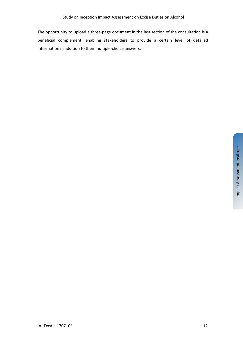The opportunity to upload a three-page document in the last section of the consultation is a beneficial complement, enabling stakeholders to provide a certain level of detailed information in addition to their multiple-choice answers.